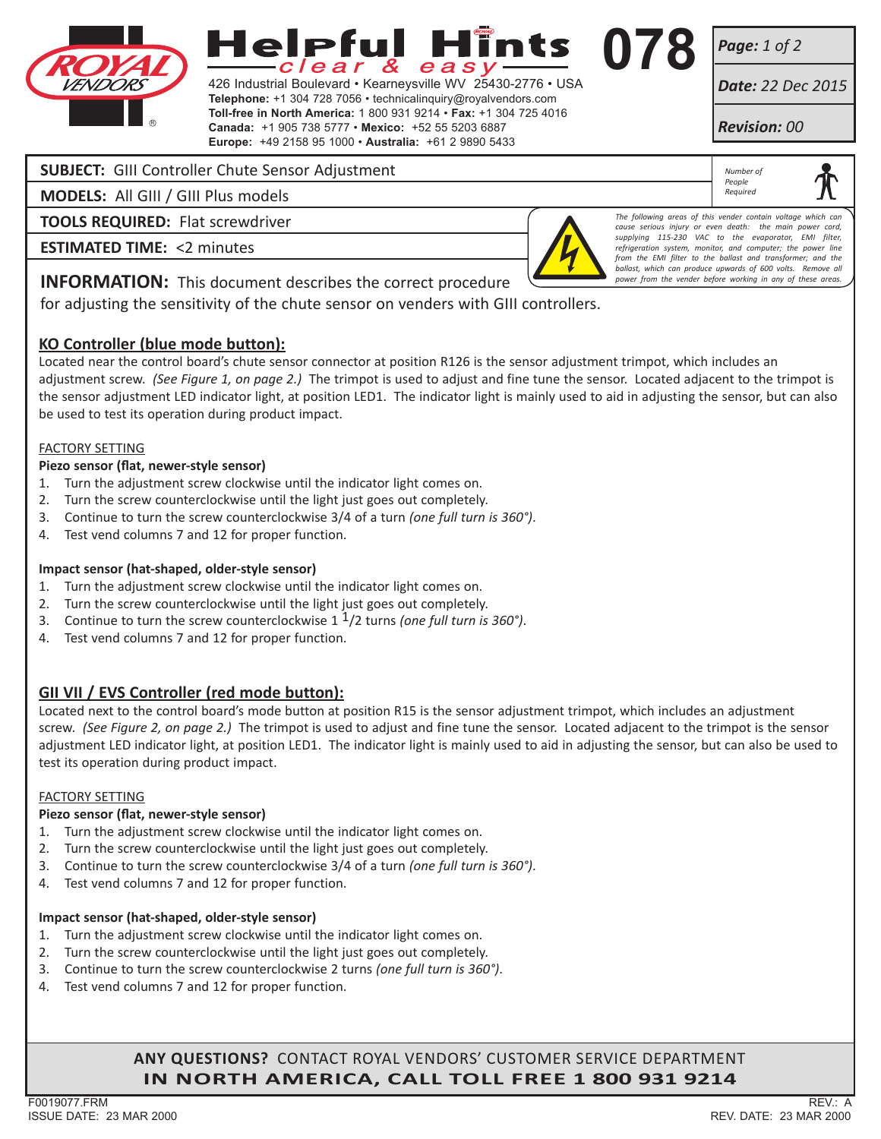

# lelpful e a s l

426 Industrial Boulevard • Kearneysville WV 25430-2776 • USA **Telephone:** +1 304 728 7056 • technicalinquiry@royalvendors.com **Toll-free in North America:** 1 800 931 9214 • **Fax:** +1 304 725 4016 **Canada:** +1 905 738 5777 • **Mexico:** +52 55 5203 6887 **Europe:** +49 2158 95 1000 • **Australia:** +61 2 9890 5433

*Page: 1 of 2*

**078**

*Date: 22 Dec 2015*

*Revision: 00*

*Number of People Required*

# **SUBJECT:** GIII Controller Chute Sensor Adjustment

**MODELS:** All GIII / GIII Plus models

**TOOLS REQUIRED:** Flat screwdriver

**ESTIMATED TIME:** <2 minutes



*The following areas of this vender contain voltage which can cause or even death: the main power supplying 115-230 VAC to the evaporator, EMI filter, refrigeration system, monitor, and computer; the power line from the EMI filter to the ballast and transformer; and the ballast, which can produce upwards of 600 volts. Remove all power from the vender before working in any of these areas.*

# **INFORMATION:** This document describes the correct procedure

for adjusting the sensitivity of the chute sensor on venders with GIII controllers.

## **KO Controller (blue mode button):**

Located near the control board's chute sensor connector at position R126 is the sensor adjustment trimpot, which includes an adjustment screw. *(See Figure 1, on page 2.)* The trimpot is used to adjust and fine tune the sensor. Located adjacent to the trimpot is the sensor adjustment LED indicator light, at position LED1. The indicator light is mainly used to aid in adjusting the sensor, but can also be used to test its operation during product impact.

#### FACTORY SETTING

#### **Piezo sensor (flat, newer-style sensor)**

- 1. Turn the adjustment screw clockwise until the indicator light comes on.
- 2. Turn the screw counterclockwise until the light just goes out completely.
- 3. Continue to turn the screw counterclockwise 3/4 of a turn *(one full turn is 360°)*.
- 4. Test vend columns 7 and 12 for proper function.

#### **Impact sensor (hat-shaped, older-style sensor)**

- 1. Turn the adjustment screw clockwise until the indicator light comes on.
- 2. Turn the screw counterclockwise until the light just goes out completely.
- 3. Continue to turn the screw counterclockwise 1 1/2 turns *(one full turn is 360°)*.
- 4. Test vend columns 7 and 12 for proper function.

# **GII VII / EVS Controller (red mode button):**

Located next to the control board's mode button at position R15 is the sensor adjustment trimpot, which includes an adjustment screw. *(See Figure 2, on page 2.)* The trimpot is used to adjust and fine tune the sensor. Located adjacent to the trimpot is the sensor adjustment LED indicator light, at position LED1. The indicator light is mainly used to aid in adjusting the sensor, but can also be used to test its operation during product impact.

#### FACTORY SETTING

## **Piezo sensor (flat, newer-style sensor)**

- 1. Turn the adjustment screw clockwise until the indicator light comes on.
- 2. Turn the screw counterclockwise until the light just goes out completely.
- 3. Continue to turn the screw counterclockwise 3/4 of a turn *(one full turn is 360°)*.
- 4. Test vend columns 7 and 12 for proper function.

## **Impact sensor (hat-shaped, older-style sensor)**

- 1. Turn the adjustment screw clockwise until the indicator light comes on.
- 2. Turn the screw counterclockwise until the light just goes out completely.
- 3. Continue to turn the screw counterclockwise 2 turns *(one full turn is 360°)*.
- 4. Test vend columns 7 and 12 for proper function.

# **ANY QUESTIONS?** CONTACT ROYAL VENDORS' CUSTOMER SERVICE DEPARTMENT **IN NORTH AMERICA, CALL TOLL FREE 1 800 931 9214**